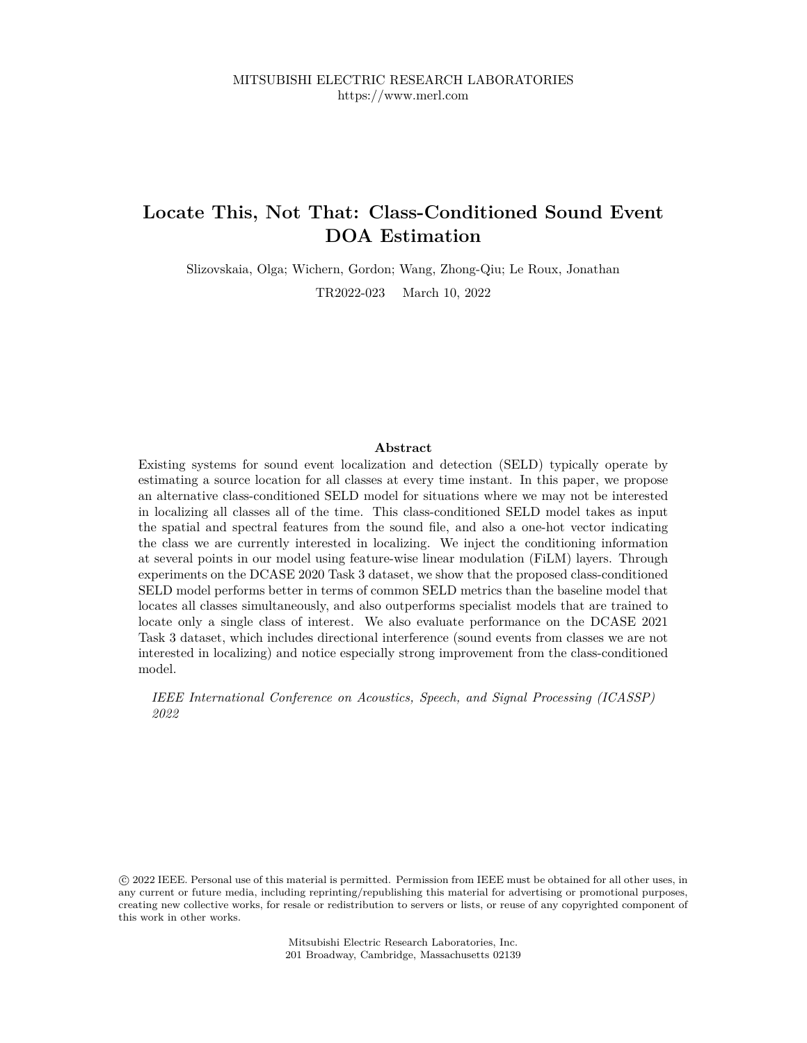# **Locate This, Not That: Class-Conditioned Sound Event DOA Estimation**

Slizovskaia, Olga; Wichern, Gordon; Wang, Zhong-Qiu; Le Roux, Jonathan

TR2022-023 March 10, 2022

## **Abstract**

Existing systems for sound event localization and detection (SELD) typically operate by estimating a source location for all classes at every time instant. In this paper, we propose an alternative class-conditioned SELD model for situations where we may not be interested in localizing all classes all of the time. This class-conditioned SELD model takes as input the spatial and spectral features from the sound file, and also a one-hot vector indicating the class we are currently interested in localizing. We inject the conditioning information at several points in our model using feature-wise linear modulation (FiLM) layers. Through experiments on the DCASE 2020 Task 3 dataset, we show that the proposed class-conditioned SELD model performs better in terms of common SELD metrics than the baseline model that locates all classes simultaneously, and also outperforms specialist models that are trained to locate only a single class of interest. We also evaluate performance on the DCASE 2021 Task 3 dataset, which includes directional interference (sound events from classes we are not interested in localizing) and notice especially strong improvement from the class-conditioned model.

*IEEE International Conference on Acoustics, Speech, and Signal Processing (ICASSP) 2022*

 c 2022 IEEE. Personal use of this material is permitted. Permission from IEEE must be obtained for all other uses, in any current or future media, including reprinting/republishing this material for advertising or promotional purposes, creating new collective works, for resale or redistribution to servers or lists, or reuse of any copyrighted component of this work in other works.

> Mitsubishi Electric Research Laboratories, Inc. 201 Broadway, Cambridge, Massachusetts 02139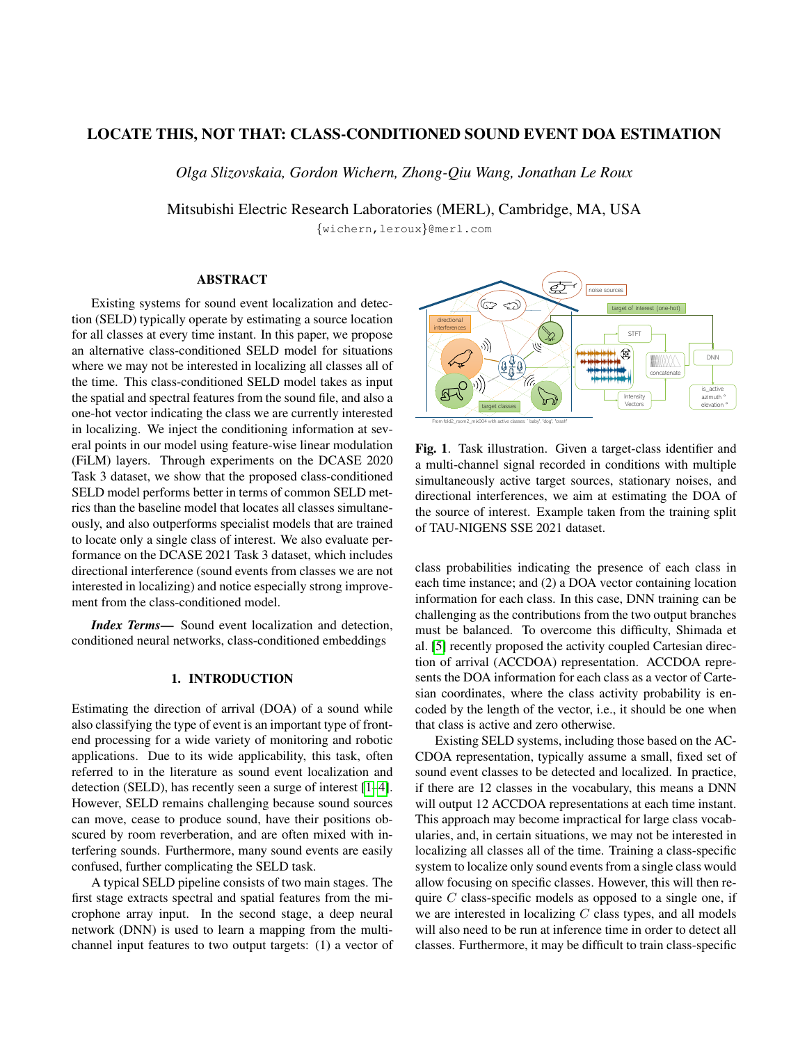# LOCATE THIS, NOT THAT: CLASS-CONDITIONED SOUND EVENT DOA ESTIMATION

*Olga Slizovskaia, Gordon Wichern, Zhong-Qiu Wang, Jonathan Le Roux*

Mitsubishi Electric Research Laboratories (MERL), Cambridge, MA, USA

{wichern,leroux}@merl.com

## ABSTRACT

Existing systems for sound event localization and detection (SELD) typically operate by estimating a source location for all classes at every time instant. In this paper, we propose an alternative class-conditioned SELD model for situations where we may not be interested in localizing all classes all of the time. This class-conditioned SELD model takes as input the spatial and spectral features from the sound file, and also a one-hot vector indicating the class we are currently interested in localizing. We inject the conditioning information at several points in our model using feature-wise linear modulation (FiLM) layers. Through experiments on the DCASE 2020 Task 3 dataset, we show that the proposed class-conditioned SELD model performs better in terms of common SELD metrics than the baseline model that locates all classes simultaneously, and also outperforms specialist models that are trained to locate only a single class of interest. We also evaluate performance on the DCASE 2021 Task 3 dataset, which includes directional interference (sound events from classes we are not interested in localizing) and notice especially strong improvement from the class-conditioned model.

*Index Terms*— Sound event localization and detection, conditioned neural networks, class-conditioned embeddings

## 1. INTRODUCTION

Estimating the direction of arrival (DOA) of a sound while also classifying the type of event is an important type of frontend processing for a wide variety of monitoring and robotic applications. Due to its wide applicability, this task, often referred to in the literature as sound event localization and detection (SELD), has recently seen a surge of interest [1–4]. However, SELD remains challenging because sound sources can move, cease to produce sound, have their positions obscured by room reverberation, and are often mixed with interfering sounds. Furthermore, many sound events are easily confused, further complicating the SELD task.

A typical SELD pipeline consists of two main stages. The first stage extracts spectral and spatial features from the microphone array input. In the second stage, a deep neural network (DNN) is used to learn a mapping from the multichannel input features to two output targets: (1) a vector of



Fig. 1. Task illustration. Given a target-class identifier and a multi-channel signal recorded in conditions with multiple simultaneously active target sources, stationary noises, and directional interferences, we aim at estimating the DOA of the source of interest. Example taken from the training split of TAU-NIGENS SSE 2021 dataset.

class probabilities indicating the presence of each class in each time instance; and (2) a DOA vector containing location information for each class. In this case, DNN training can be challenging as the contributions from the two output branches must be balanced. To overcome this difficulty, Shimada et al. [5] recently proposed the activity coupled Cartesian direction of arrival (ACCDOA) representation. ACCDOA represents the DOA information for each class as a vector of Cartesian coordinates, where the class activity probability is encoded by the length of the vector, i.e., it should be one when that class is active and zero otherwise.

Existing SELD systems, including those based on the AC-CDOA representation, typically assume a small, fixed set of sound event classes to be detected and localized. In practice, if there are 12 classes in the vocabulary, this means a DNN will output 12 ACCDOA representations at each time instant. This approach may become impractical for large class vocabularies, and, in certain situations, we may not be interested in localizing all classes all of the time. Training a class-specific system to localize only sound events from a single class would allow focusing on specific classes. However, this will then require  $C$  class-specific models as opposed to a single one, if we are interested in localizing  $C$  class types, and all models will also need to be run at inference time in order to detect all classes. Furthermore, it may be difficult to train class-specific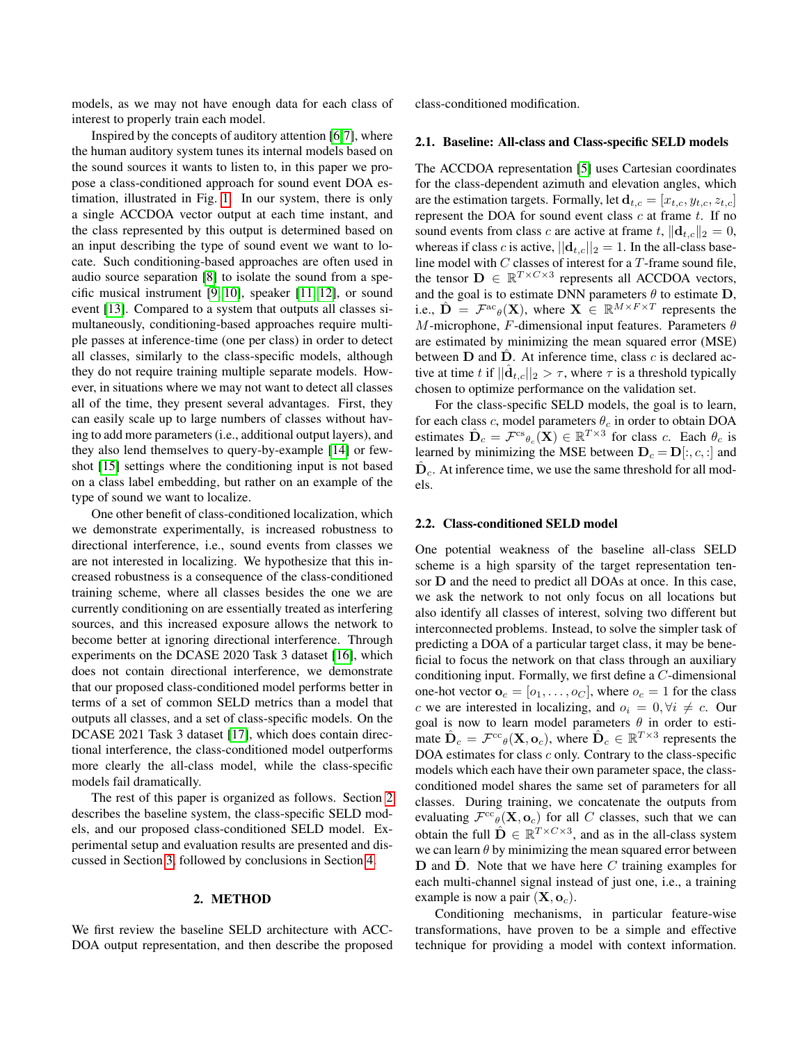models, as we may not have enough data for each class of interest to properly train each model.

Inspired by the concepts of auditory attention [6,7], where the human auditory system tunes its internal models based on the sound sources it wants to listen to, in this paper we propose a class-conditioned approach for sound event DOA estimation, illustrated in Fig. 1. In our system, there is only a single ACCDOA vector output at each time instant, and the class represented by this output is determined based on an input describing the type of sound event we want to locate. Such conditioning-based approaches are often used in audio source separation [8] to isolate the sound from a specific musical instrument [9, 10], speaker [11, 12], or sound event [13]. Compared to a system that outputs all classes simultaneously, conditioning-based approaches require multiple passes at inference-time (one per class) in order to detect all classes, similarly to the class-specific models, although they do not require training multiple separate models. However, in situations where we may not want to detect all classes all of the time, they present several advantages. First, they can easily scale up to large numbers of classes without having to add more parameters (i.e., additional output layers), and they also lend themselves to query-by-example [14] or fewshot [15] settings where the conditioning input is not based on a class label embedding, but rather on an example of the type of sound we want to localize.

One other benefit of class-conditioned localization, which we demonstrate experimentally, is increased robustness to directional interference, i.e., sound events from classes we are not interested in localizing. We hypothesize that this increased robustness is a consequence of the class-conditioned training scheme, where all classes besides the one we are currently conditioning on are essentially treated as interfering sources, and this increased exposure allows the network to become better at ignoring directional interference. Through experiments on the DCASE 2020 Task 3 dataset [16], which does not contain directional interference, we demonstrate that our proposed class-conditioned model performs better in terms of a set of common SELD metrics than a model that outputs all classes, and a set of class-specific models. On the DCASE 2021 Task 3 dataset [17], which does contain directional interference, the class-conditioned model outperforms more clearly the all-class model, while the class-specific models fail dramatically.

The rest of this paper is organized as follows. Section 2 describes the baseline system, the class-specific SELD models, and our proposed class-conditioned SELD model. Experimental setup and evaluation results are presented and discussed in Section 3, followed by conclusions in Section 4.

#### 2. METHOD

We first review the baseline SELD architecture with ACC-DOA output representation, and then describe the proposed class-conditioned modification.

#### 2.1. Baseline: All-class and Class-specific SELD models

The ACCDOA representation [5] uses Cartesian coordinates for the class-dependent azimuth and elevation angles, which are the estimation targets. Formally, let  $\mathbf{d}_{t,c} = [x_{t,c}, y_{t,c}, z_{t,c}]$ represent the DOA for sound event class  $c$  at frame  $t$ . If no sound events from class c are active at frame t,  $||\mathbf{d}_{t,c}||_2 = 0$ , whereas if class c is active,  $||\mathbf{d}_{t,c}||_2 = 1$ . In the all-class baseline model with  $C$  classes of interest for a  $T$ -frame sound file, the tensor  $\mathbf{D} \in \mathbb{R}^{T \times C \times 3}$  represents all ACCDOA vectors, and the goal is to estimate DNN parameters  $\theta$  to estimate D, i.e.,  $\hat{\mathbf{D}} = \mathcal{F}^{\text{ac}}(\mathbf{X})$ , where  $\mathbf{X} \in \mathbb{R}^{M \times F \times T}$  represents the M-microphone, F-dimensional input features. Parameters  $\theta$ are estimated by minimizing the mean squared error (MSE) between  **and**  $**D**$ **. At inference time, class c is declared ac**tive at time t if  $||\hat{d}_{t,c}||_2 > \tau$ , where  $\tau$  is a threshold typically chosen to optimize performance on the validation set.

For the class-specific SELD models, the goal is to learn, for each class c, model parameters  $\theta_c$  in order to obtain DOA estimates  $\hat{\mathbf{D}}_c = \mathcal{F}^{\text{cs}} \theta_c(\mathbf{X}) \in \mathbb{R}^{T \times 3}$  for class c. Each  $\theta_c$  is learned by minimizing the MSE between  $D_c = D[:, c, :]$  and  $\hat{\mathbf{D}}_c$ . At inference time, we use the same threshold for all models.

#### 2.2. Class-conditioned SELD model

One potential weakness of the baseline all-class SELD scheme is a high sparsity of the target representation tensor D and the need to predict all DOAs at once. In this case, we ask the network to not only focus on all locations but also identify all classes of interest, solving two different but interconnected problems. Instead, to solve the simpler task of predicting a DOA of a particular target class, it may be beneficial to focus the network on that class through an auxiliary conditioning input. Formally, we first define a C-dimensional one-hot vector  $\mathbf{o}_c = [o_1, \ldots, o_C]$ , where  $o_c = 1$  for the class c we are interested in localizing, and  $o_i = 0, \forall i \neq c$ . Our goal is now to learn model parameters  $\theta$  in order to estimate  $\hat{\mathbf{D}}_c = \mathcal{F}^{\text{cc}}(\mathbf{X}, \mathbf{o}_c)$ , where  $\hat{\mathbf{D}}_c \in \mathbb{R}^{T \times 3}$  represents the DOA estimates for class  $c$  only. Contrary to the class-specific models which each have their own parameter space, the classconditioned model shares the same set of parameters for all classes. During training, we concatenate the outputs from evaluating  $\mathcal{F}^{cc}{}_{\theta}(\mathbf{X}, \mathbf{o}_c)$  for all C classes, such that we can obtain the full  $\hat{\mathbf{D}} \in \mathbb{R}^{T \times C \times 3}$ , and as in the all-class system we can learn  $\theta$  by minimizing the mean squared error between  **and**  $**D**$ **. Note that we have here C training examples for** each multi-channel signal instead of just one, i.e., a training example is now a pair  $(X, o_c)$ .

Conditioning mechanisms, in particular feature-wise transformations, have proven to be a simple and effective technique for providing a model with context information.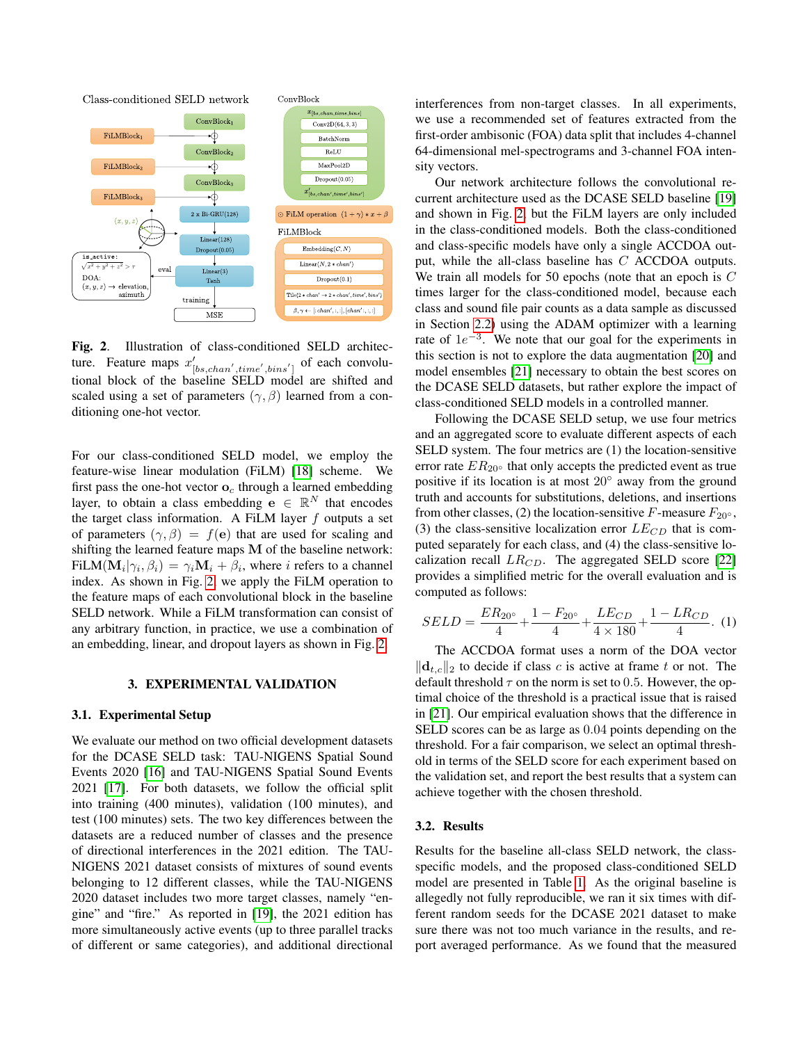

Fig. 2. Illustration of class-conditioned SELD architecture. Feature maps  $x'_{[bs,chan',time',bins']}$  of each convolutional block of the baseline SELD model are shifted and scaled using a set of parameters  $(\gamma, \beta)$  learned from a conditioning one-hot vector.

For our class-conditioned SELD model, we employ the feature-wise linear modulation (FiLM) [18] scheme. We first pass the one-hot vector  $\mathbf{o}_c$  through a learned embedding layer, to obtain a class embedding  $\mathbf{e} \in \mathbb{R}^N$  that encodes the target class information. A FiLM layer  $f$  outputs a set of parameters  $(\gamma, \beta) = f(e)$  that are used for scaling and shifting the learned feature maps M of the baseline network: FiLM $(\mathbf{M}_i | \gamma_i, \beta_i) = \gamma_i \mathbf{M}_i + \beta_i$ , where *i* refers to a channel index. As shown in Fig. 2, we apply the FiLM operation to the feature maps of each convolutional block in the baseline SELD network. While a FiLM transformation can consist of any arbitrary function, in practice, we use a combination of an embedding, linear, and dropout layers as shown in Fig. 2.

## 3. EXPERIMENTAL VALIDATION

#### 3.1. Experimental Setup

We evaluate our method on two official development datasets for the DCASE SELD task: TAU-NIGENS Spatial Sound Events 2020 [16] and TAU-NIGENS Spatial Sound Events 2021 [17]. For both datasets, we follow the official split into training (400 minutes), validation (100 minutes), and test (100 minutes) sets. The two key differences between the datasets are a reduced number of classes and the presence of directional interferences in the 2021 edition. The TAU-NIGENS 2021 dataset consists of mixtures of sound events belonging to 12 different classes, while the TAU-NIGENS 2020 dataset includes two more target classes, namely "engine" and "fire." As reported in [19], the 2021 edition has more simultaneously active events (up to three parallel tracks of different or same categories), and additional directional

interferences from non-target classes. In all experiments, we use a recommended set of features extracted from the first-order ambisonic (FOA) data split that includes 4-channel 64-dimensional mel-spectrograms and 3-channel FOA intensity vectors.

Our network architecture follows the convolutional recurrent architecture used as the DCASE SELD baseline [19] and shown in Fig. 2, but the FiLM layers are only included in the class-conditioned models. Both the class-conditioned and class-specific models have only a single ACCDOA output, while the all-class baseline has C ACCDOA outputs. We train all models for 50 epochs (note that an epoch is C times larger for the class-conditioned model, because each class and sound file pair counts as a data sample as discussed in Section 2.2) using the ADAM optimizer with a learning rate of  $1e^{-3}$ . We note that our goal for the experiments in this section is not to explore the data augmentation [20] and model ensembles [21] necessary to obtain the best scores on the DCASE SELD datasets, but rather explore the impact of class-conditioned SELD models in a controlled manner.

Following the DCASE SELD setup, we use four metrics and an aggregated score to evaluate different aspects of each SELD system. The four metrics are (1) the location-sensitive error rate  $ER_{20}$ ° that only accepts the predicted event as true positive if its location is at most 20<sup>°</sup> away from the ground truth and accounts for substitutions, deletions, and insertions from other classes, (2) the location-sensitive F-measure  $F_{20} \circ$ , (3) the class-sensitive localization error  $LE_{CD}$  that is computed separately for each class, and (4) the class-sensitive localization recall  $LR_{CD}$ . The aggregated SELD score [22] provides a simplified metric for the overall evaluation and is computed as follows:

$$
SELD = \frac{ER_{20^{\circ}}}{4} + \frac{1 - F_{20^{\circ}}}{4} + \frac{LE_{CD}}{4 \times 180} + \frac{1 - LR_{CD}}{4}.
$$
 (1)

The ACCDOA format uses a norm of the DOA vector  $\|\mathbf{d}_{t,c}\|_2$  to decide if class c is active at frame t or not. The default threshold  $\tau$  on the norm is set to 0.5. However, the optimal choice of the threshold is a practical issue that is raised in [21]. Our empirical evaluation shows that the difference in SELD scores can be as large as 0.04 points depending on the threshold. For a fair comparison, we select an optimal threshold in terms of the SELD score for each experiment based on the validation set, and report the best results that a system can achieve together with the chosen threshold.

## 3.2. Results

Results for the baseline all-class SELD network, the classspecific models, and the proposed class-conditioned SELD model are presented in Table 1. As the original baseline is allegedly not fully reproducible, we ran it six times with different random seeds for the DCASE 2021 dataset to make sure there was not too much variance in the results, and report averaged performance. As we found that the measured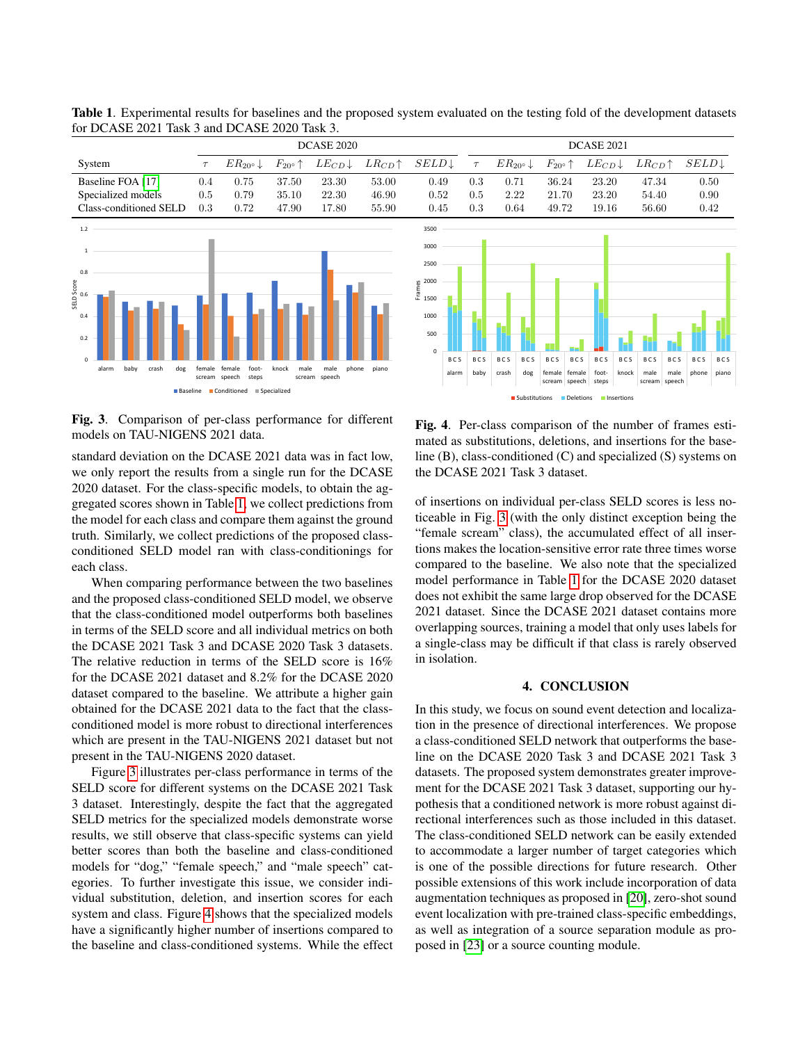|                               | <b>DCASE 2020</b> |                                           |                            |                                |                                            |                   |            | <b>DCASE 2021</b> |                             |               |                                |                      |                      |            |                                            |            |                   |            |  |
|-------------------------------|-------------------|-------------------------------------------|----------------------------|--------------------------------|--------------------------------------------|-------------------|------------|-------------------|-----------------------------|---------------|--------------------------------|----------------------|----------------------|------------|--------------------------------------------|------------|-------------------|------------|--|
| System                        | $\tau$            | $ER_{20}$ <sup>o</sup> ↓                  | $F_{20^{\circ}}\!\uparrow$ | $LE_{CD} \downarrow$           | $LR_{CD}$ <sup><math>\uparrow</math></sup> | $SELD \downarrow$ |            | $\tau$            | $ER_{20^{\circ}}\downarrow$ |               | $F_{20^{\circ}}$ $\uparrow$    |                      | $LE_{CD} \downarrow$ |            | $LR_{CD}$ <sup><math>\uparrow</math></sup> |            | $SELD \downarrow$ |            |  |
| Baseline FOA [17]             | 0.4               | 0.75                                      | 37.50                      | 23.30                          | 53.00                                      | 0.49              |            | 0.3               | 0.71                        | 36.24         |                                |                      | 23.20                |            | 47.34                                      |            | 0.50              |            |  |
| Specialized models            | $0.5\,$           | 0.79                                      | 35.10                      | 22.30                          | 46.90                                      | 0.52              |            | 0.5<br>2.22       |                             |               | 21.70                          |                      | 23.20                |            | 54.40                                      |            | 0.90              |            |  |
| Class-conditioned SELD        | 0.3               | 0.72                                      | 47.90                      | 17.80                          | 55.90                                      | 0.45              |            | 0.3               | 0.64                        |               | 49.72                          |                      | 19.16                |            | 56.60                                      |            | 0.42              |            |  |
| 1.2                           |                   |                                           |                            |                                |                                            | 3500              |            |                   |                             |               |                                |                      |                      |            |                                            |            |                   |            |  |
|                               |                   |                                           |                            |                                |                                            | 3000              |            |                   |                             |               |                                |                      |                      |            |                                            |            |                   |            |  |
| 0.8                           |                   |                                           |                            |                                |                                            | 2500              |            |                   |                             |               |                                |                      |                      |            |                                            |            |                   |            |  |
|                               |                   |                                           |                            |                                |                                            | 2000<br>Frames    |            |                   |                             |               |                                |                      |                      |            |                                            |            |                   |            |  |
| SELD Score<br>0.<br>6         |                   |                                           |                            |                                |                                            | 1500              |            |                   |                             |               |                                |                      |                      |            |                                            |            |                   |            |  |
| 0.4                           |                   |                                           |                            |                                |                                            | 1000              |            |                   |                             |               |                                |                      |                      |            |                                            |            |                   |            |  |
| 0.2                           |                   |                                           |                            |                                |                                            | 500               |            |                   |                             |               |                                |                      |                      |            |                                            |            |                   |            |  |
|                               |                   |                                           |                            |                                |                                            | $\Omega$          |            |                   |                             |               |                                |                      |                      |            |                                            |            |                   |            |  |
| $\Omega$                      |                   |                                           |                            |                                |                                            |                   | <b>BCS</b> | <b>BCS</b>        | <b>BCS</b>                  | <b>BCS</b>    | <b>BCS</b>                     | <b>BCS</b>           | <b>BCS</b>           | <b>BCS</b> | <b>BCS</b>                                 | <b>BCS</b> | <b>BCS</b>        | <b>BCS</b> |  |
| alarm<br>baby<br>crash<br>dog | female            | female<br>foot-<br>scream speech<br>steps | knock<br>male              | male<br>phone<br>scream speech | piano                                      |                   | alarm      | baby              | crash                       | dog           | female female<br>scream speech |                      | foot-<br>steps       | knock      | male<br>scream speech                      | male       | phone             | piano      |  |
| <b>Baseline</b>               |                   | $\Box$ Conditioned $\Box$ Specialized     |                            |                                |                                            |                   |            |                   |                             | Substitutions |                                | Deletions Insertions |                      |            |                                            |            |                   |            |  |

Table 1. Experimental results for baselines and the proposed system evaluated on the testing fold of the development datasets for DCASE 2021 Task 3 and DCASE 2020 Task 3.

Fig. 3. Comparison of per-class performance for different models on TAU-NIGENS 2021 data.

standard deviation on the DCASE 2021 data was in fact low, we only report the results from a single run for the DCASE 2020 dataset. For the class-specific models, to obtain the aggregated scores shown in Table 1, we collect predictions from the model for each class and compare them against the ground truth. Similarly, we collect predictions of the proposed classconditioned SELD model ran with class-conditionings for each class.

When comparing performance between the two baselines and the proposed class-conditioned SELD model, we observe that the class-conditioned model outperforms both baselines in terms of the SELD score and all individual metrics on both the DCASE 2021 Task 3 and DCASE 2020 Task 3 datasets. The relative reduction in terms of the SELD score is 16% for the DCASE 2021 dataset and 8.2% for the DCASE 2020 dataset compared to the baseline. We attribute a higher gain obtained for the DCASE 2021 data to the fact that the classconditioned model is more robust to directional interferences which are present in the TAU-NIGENS 2021 dataset but not present in the TAU-NIGENS 2020 dataset.

Figure 3 illustrates per-class performance in terms of the SELD score for different systems on the DCASE 2021 Task 3 dataset. Interestingly, despite the fact that the aggregated SELD metrics for the specialized models demonstrate worse results, we still observe that class-specific systems can yield better scores than both the baseline and class-conditioned models for "dog," "female speech," and "male speech" categories. To further investigate this issue, we consider individual substitution, deletion, and insertion scores for each system and class. Figure 4 shows that the specialized models have a significantly higher number of insertions compared to the baseline and class-conditioned systems. While the effect

Fig. 4. Per-class comparison of the number of frames estimated as substitutions, deletions, and insertions for the baseline (B), class-conditioned (C) and specialized (S) systems on the DCASE 2021 Task 3 dataset.

of insertions on individual per-class SELD scores is less noticeable in Fig. 3 (with the only distinct exception being the "female scream" class), the accumulated effect of all insertions makes the location-sensitive error rate three times worse compared to the baseline. We also note that the specialized model performance in Table 1 for the DCASE 2020 dataset does not exhibit the same large drop observed for the DCASE 2021 dataset. Since the DCASE 2021 dataset contains more overlapping sources, training a model that only uses labels for a single-class may be difficult if that class is rarely observed in isolation.

### 4. CONCLUSION

In this study, we focus on sound event detection and localization in the presence of directional interferences. We propose a class-conditioned SELD network that outperforms the baseline on the DCASE 2020 Task 3 and DCASE 2021 Task 3 datasets. The proposed system demonstrates greater improvement for the DCASE 2021 Task 3 dataset, supporting our hypothesis that a conditioned network is more robust against directional interferences such as those included in this dataset. The class-conditioned SELD network can be easily extended to accommodate a larger number of target categories which is one of the possible directions for future research. Other possible extensions of this work include incorporation of data augmentation techniques as proposed in [20], zero-shot sound event localization with pre-trained class-specific embeddings, as well as integration of a source separation module as proposed in [23] or a source counting module.